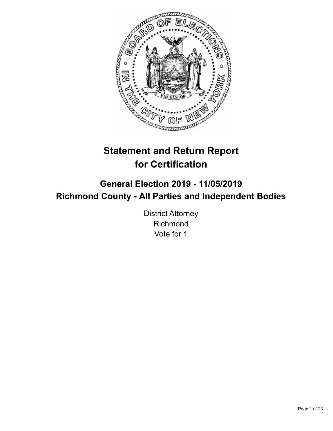

# **Statement and Return Report for Certification**

## **General Election 2019 - 11/05/2019 Richmond County - All Parties and Independent Bodies**

District Attorney Richmond Vote for 1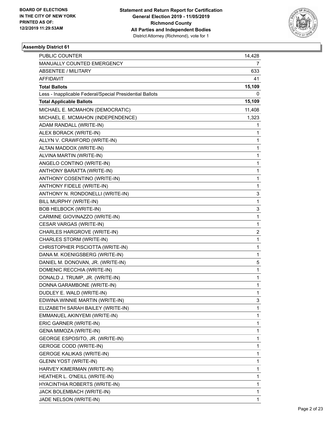

| PUBLIC COUNTER                                           | 14,428       |
|----------------------------------------------------------|--------------|
| MANUALLY COUNTED EMERGENCY                               | 7            |
| ABSENTEE / MILITARY                                      | 633          |
| AFFIDAVIT                                                | 41           |
| <b>Total Ballots</b>                                     | 15,109       |
| Less - Inapplicable Federal/Special Presidential Ballots | 0            |
| <b>Total Applicable Ballots</b>                          | 15,109       |
| MICHAEL E. MCMAHON (DEMOCRATIC)                          | 11,408       |
| MICHAEL E. MCMAHON (INDEPENDENCE)                        | 1,323        |
| ADAM RANDALL (WRITE-IN)                                  | 1            |
| ALEX BORACK (WRITE-IN)                                   | 1            |
| ALLYN V. CRAWFORD (WRITE-IN)                             | 1            |
| ALTAN MADDOX (WRITE-IN)                                  | 1            |
| ALVINA MARTIN (WRITE-IN)                                 | 1            |
| ANGELO CONTINO (WRITE-IN)                                | 1            |
| ANTHONY BARATTA (WRITE-IN)                               | 1            |
| ANTHONY COSENTINO (WRITE-IN)                             | 1            |
| ANTHONY FIDELE (WRITE-IN)                                | 1            |
| ANTHONY N. RONDONELLI (WRITE-IN)                         | 3            |
| BILL MURPHY (WRITE-IN)                                   | 1            |
| <b>BOB HELBOCK (WRITE-IN)</b>                            | 3            |
| CARMINE GIOVINAZZO (WRITE-IN)                            | 1            |
| CESAR VARGAS (WRITE-IN)                                  | 1            |
| CHARLES HARGROVE (WRITE-IN)                              | 2            |
| CHARLES STORM (WRITE-IN)                                 | 1            |
| CHRISTOPHER PISCIOTTA (WRITE-IN)                         | 1            |
| DANA M. KOENIGSBERG (WRITE-IN)                           | 1            |
| DANIEL M. DONOVAN, JR. (WRITE-IN)                        | 5            |
| DOMENIC RECCHIA (WRITE-IN)                               | 1            |
| DONALD J. TRUMP, JR. (WRITE-IN)                          | $\mathbf{1}$ |
| DONNA GARAMBONE (WRITE-IN)                               | 1            |
| DUDLEY E. WALD (WRITE-IN)                                | 1            |
| EDWINA WINNIE MARTIN (WRITE-IN)                          | 3            |
| ELIZABETH SARAH BAILEY (WRITE-IN)                        | 1            |
| EMMANUEL AKINYEMI (WRITE-IN)                             | 1            |
| ERIC GARNER (WRITE-IN)                                   | 1            |
| GENA MIMOZA (WRITE-IN)                                   | 1            |
| GEORGE ESPOSITO, JR. (WRITE-IN)                          | 1            |
| <b>GEROGE CODD (WRITE-IN)</b>                            | 1            |
| <b>GEROGE KALIKAS (WRITE-IN)</b>                         | 1            |
| <b>GLENN YOST (WRITE-IN)</b>                             | 1            |
| HARVEY KIMERMAN (WRITE-IN)                               | 1            |
| HEATHER L. O'NEILL (WRITE-IN)                            | 1            |
| HYACINTHIA ROBERTS (WRITE-IN)                            | 1            |
| JACK BOLEMBACH (WRITE-IN)                                | 1            |
| JADE NELSON (WRITE-IN)                                   | 1            |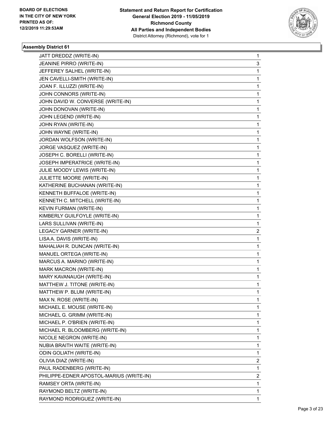

| JATT DREDDZ (WRITE-IN)                   | 1                       |
|------------------------------------------|-------------------------|
| JEANINE PIRRO (WRITE-IN)                 | 3                       |
| JEFFEREY SALHEL (WRITE-IN)               | $\mathbf{1}$            |
| JEN CAVELLI-SMITH (WRITE-IN)             | 1                       |
| JOAN F. ILLUZZI (WRITE-IN)               | 1                       |
| JOHN CONNORS (WRITE-IN)                  | 1                       |
| JOHN DAVID W. CONVERSE (WRITE-IN)        | 1                       |
| JOHN DONOVAN (WRITE-IN)                  | 1                       |
| JOHN LEGEND (WRITE-IN)                   | 1                       |
| JOHN RYAN (WRITE-IN)                     | 1                       |
| JOHN WAYNE (WRITE-IN)                    | 1                       |
| JORDAN WOLFSON (WRITE-IN)                | 1                       |
| JORGE VASQUEZ (WRITE-IN)                 | 1                       |
| JOSEPH C. BORELLI (WRITE-IN)             | 1                       |
| JOSEPH IMPERATRICE (WRITE-IN)            | 1                       |
| JULIE MOODY LEWIS (WRITE-IN)             | 1                       |
| JULIETTE MOORE (WRITE-IN)                | 1                       |
| KATHERINE BUCHANAN (WRITE-IN)            | 1                       |
| KENNETH BUFFALOE (WRITE-IN)              | 1                       |
| KENNETH C. MITCHELL (WRITE-IN)           | 1                       |
| KEVIN FURMAN (WRITE-IN)                  | 1                       |
| KIMBERLY GUILFOYLE (WRITE-IN)            | 1                       |
| LARS SULLIVAN (WRITE-IN)                 | 1                       |
| LEGACY GARNER (WRITE-IN)                 | $\overline{\mathbf{c}}$ |
| LISA A. DAVIS (WRITE-IN)                 | 1                       |
| MAHALIAH R. DUNCAN (WRITE-IN)            | 1                       |
| MANUEL ORTEGA (WRITE-IN)                 | 1                       |
| MARCUS A. MARINO (WRITE-IN)              | 1                       |
| MARK MACRON (WRITE-IN)                   | 1                       |
| MARY KAVANAUGH (WRITE-IN)                | 1                       |
| MATTHEW J. TITONE (WRITE-IN)             | 1                       |
| MATTHEW P. BLUM (WRITE-IN)               | 1                       |
| MAX N. ROSE (WRITE-IN)                   | 1                       |
| MICHAEL E. MOUSE (WRITE-IN)              | 1                       |
| MICHAEL G. GRIMM (WRITE-IN)              | 1                       |
| MICHAEL P. O'BRIEN (WRITE-IN)            | 1                       |
| MICHAEL R. BLOOMBERG (WRITE-IN)          | 1                       |
| NICOLE NEGRON (WRITE-IN)                 | 1                       |
| NUBIA BRAITH WAITE (WRITE-IN)            | 1                       |
| <b>ODIN GOLIATH (WRITE-IN)</b>           | 1                       |
| OLIVIA DIAZ (WRITE-IN)                   | $\overline{c}$          |
| PAUL RADENBERG (WRITE-IN)                | $\mathbf{1}$            |
| PHILIPPE-EDNER APOSTOL-MARIUS (WRITE-IN) | $\overline{2}$          |
| RAMSEY ORTA (WRITE-IN)                   | 1                       |
| RAYMOND BELTZ (WRITE-IN)                 | 1                       |
| RAYMOND RODRIGUEZ (WRITE-IN)             | 1                       |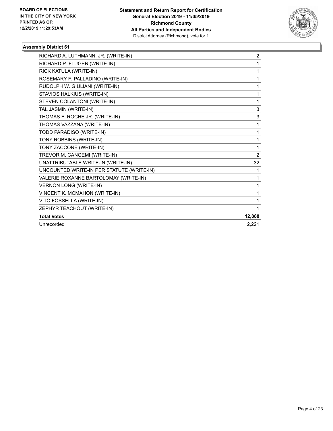

| RICHARD A. LUTHMANN, JR. (WRITE-IN)       | $\overline{c}$ |
|-------------------------------------------|----------------|
| RICHARD P. FLUGER (WRITE-IN)              | 1              |
| RICK KATULA (WRITE-IN)                    | 1              |
| ROSEMARY F. PALLADINO (WRITE-IN)          | 1              |
| RUDOLPH W. GIULIANI (WRITE-IN)            | 1              |
| STAVIOS HALKIUS (WRITE-IN)                | 1              |
| STEVEN COLANTONI (WRITE-IN)               | 1              |
| TAL JASMIN (WRITE-IN)                     | 3              |
| THOMAS F. ROCHE JR. (WRITE-IN)            | 3              |
| THOMAS VAZZANA (WRITE-IN)                 | 1              |
| TODD PARADISO (WRITE-IN)                  | 1              |
| TONY ROBBINS (WRITE-IN)                   | 1              |
| TONY ZACCONE (WRITE-IN)                   | 1              |
| TREVOR M. CANGEMI (WRITE-IN)              | $\overline{2}$ |
| UNATTRIBUTABLE WRITE-IN (WRITE-IN)        | 32             |
| UNCOUNTED WRITE-IN PER STATUTE (WRITE-IN) | 1              |
| VALERIE ROXANNE BARTOLOMAY (WRITE-IN)     | 1              |
| <b>VERNON LONG (WRITE-IN)</b>             | 1              |
| VINCENT K. MCMAHON (WRITE-IN)             | 1              |
| VITO FOSSELLA (WRITE-IN)                  | 1              |
| ZEPHYR TEACHOUT (WRITE-IN)                | 1              |
| <b>Total Votes</b>                        | 12,888         |
| Unrecorded                                | 2,221          |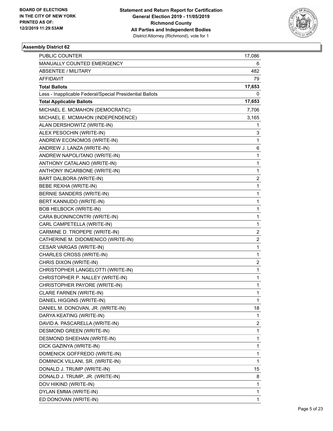

| PUBLIC COUNTER                                           | 17,086                  |
|----------------------------------------------------------|-------------------------|
| MANUALLY COUNTED EMERGENCY                               | 6                       |
| ABSENTEE / MILITARY                                      | 482                     |
| <b>AFFIDAVIT</b>                                         | 79                      |
| <b>Total Ballots</b>                                     | 17,653                  |
| Less - Inapplicable Federal/Special Presidential Ballots | 0                       |
| <b>Total Applicable Ballots</b>                          | 17,653                  |
| MICHAEL E. MCMAHON (DEMOCRATIC)                          | 7,706                   |
| MICHAEL E. MCMAHON (INDEPENDENCE)                        | 3,165                   |
| ALAN DERSHOWITZ (WRITE-IN)                               | 1                       |
| ALEX PESOCHIN (WRITE-IN)                                 | 3                       |
| ANDREW ECONOMOS (WRITE-IN)                               | 1                       |
| ANDREW J. LANZA (WRITE-IN)                               | 6                       |
| ANDREW NAPOLITANO (WRITE-IN)                             | 1                       |
| ANTHONY CATALANO (WRITE-IN)                              | 1                       |
| ANTHONY INCARBONE (WRITE-IN)                             | 1                       |
| BART DALBORA (WRITE-IN)                                  | 2                       |
| BEBE REXHA (WRITE-IN)                                    | 1                       |
| <b>BERNIE SANDERS (WRITE-IN)</b>                         | 1                       |
| BERT KANNUDO (WRITE-IN)                                  | 1                       |
| <b>BOB HELBOCK (WRITE-IN)</b>                            | 1                       |
| CARA BUONINCONTRI (WRITE-IN)                             | 1                       |
| CARL CAMPETELLA (WRITE-IN)                               | 1                       |
| CARMINE D. TROPEPE (WRITE-IN)                            | $\overline{\mathbf{c}}$ |
| CATHERINE M. DIDOMENICO (WRITE-IN)                       | $\overline{\mathbf{c}}$ |
| CESAR VARGAS (WRITE-IN)                                  | 1                       |
| CHARLES CROSS (WRITE-IN)                                 | 1                       |
| CHRIS DIXON (WRITE-IN)                                   | 2                       |
| CHRISTOPHER LANGELOTTI (WRITE-IN)                        | 1                       |
| CHRISTOPHER P. NALLEY (WRITE-IN)                         | 1                       |
| CHRISTOPHER PAYORE (WRITE-IN)                            | 1                       |
| CLARE FARNEN (WRITE-IN)                                  | 1                       |
| DANIEL HIGGINS (WRITE-IN)                                | 1                       |
| DANIEL M. DONOVAN, JR. (WRITE-IN)                        | 18                      |
| DARYA KEATING (WRITE-IN)                                 | 1                       |
| DAVID A. PASCARELLA (WRITE-IN)                           | 2                       |
| DESMOND GREEN (WRITE-IN)                                 | 1                       |
| DESMOND SHEEHAN (WRITE-IN)                               | 1                       |
| DICK GAZINYA (WRITE-IN)                                  | 1                       |
| DOMENICK GOFFREDO (WRITE-IN)                             | 1                       |
| DOMINICK VILLANI, SR. (WRITE-IN)                         | 1                       |
| DONALD J. TRUMP (WRITE-IN)                               | 15                      |
| DONALD J. TRUMP, JR. (WRITE-IN)                          | 8                       |
| DOV HIKIND (WRITE-IN)                                    | 1                       |
| DYLAN EMMA (WRITE-IN)                                    | 1                       |
| ED DONOVAN (WRITE-IN)                                    | 1                       |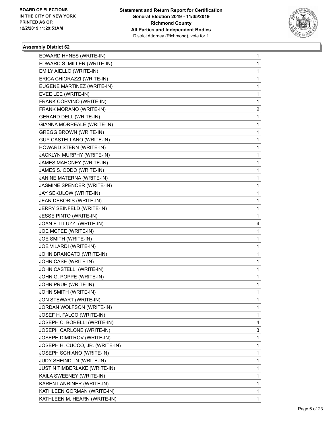

| EDWARD HYNES (WRITE-IN)         | 1 |
|---------------------------------|---|
| EDWARD S. MILLER (WRITE-IN)     | 1 |
| EMILY AIELLO (WRITE-IN)         | 1 |
| ERICA CHIORAZZI (WRITE-IN)      | 1 |
| EUGENE MARTINEZ (WRITE-IN)      | 1 |
| EVEE LEE (WRITE-IN)             | 1 |
| FRANK CORVINO (WRITE-IN)        | 1 |
| FRANK MORANO (WRITE-IN)         | 2 |
| <b>GERARD DELL (WRITE-IN)</b>   | 1 |
| GIANNA MORREALE (WRITE-IN)      | 1 |
| <b>GREGG BROWN (WRITE-IN)</b>   | 1 |
| GUY CASTELLANO (WRITE-IN)       | 1 |
| HOWARD STERN (WRITE-IN)         | 1 |
| JACKLYN MURPHY (WRITE-IN)       | 1 |
| JAMES MAHONEY (WRITE-IN)        | 1 |
| JAMES S. ODDO (WRITE-IN)        | 1 |
| JANINE MATERNA (WRITE-IN)       | 1 |
| JASMINE SPENCER (WRITE-IN)      | 1 |
| JAY SEKULOW (WRITE-IN)          | 1 |
| JEAN DEBORIS (WRITE-IN)         | 1 |
| JERRY SEINFELD (WRITE-IN)       | 1 |
| JESSE PINTO (WRITE-IN)          | 1 |
| JOAN F. ILLUZZI (WRITE-IN)      | 4 |
| JOE MCFEE (WRITE-IN)            | 1 |
| JOE SMITH (WRITE-IN)            | 1 |
| JOE VILARDI (WRITE-IN)          | 1 |
| JOHN BRANCATO (WRITE-IN)        | 1 |
| JOHN CASE (WRITE-IN)            | 1 |
| JOHN CASTELLI (WRITE-IN)        | 1 |
| JOHN G. POPPE (WRITE-IN)        | 1 |
| JOHN PRUE (WRITE-IN)            | 1 |
| JOHN SMITH (WRITE-IN)           | 1 |
| JON STEWART (WRITE-IN)          | 1 |
| JORDAN WOLFSON (WRITE-IN)       | 1 |
| JOSEF H. FALCO (WRITE-IN)       | 1 |
| JOSEPH C. BORELLI (WRITE-IN)    | 4 |
| JOSEPH CARLONE (WRITE-IN)       | 3 |
| JOSEPH DIMITROV (WRITE-IN)      | 1 |
| JOSEPH H. CUCCO, JR. (WRITE-IN) | 1 |
| JOSEPH SCHIANO (WRITE-IN)       | 1 |
| JUDY SHEINDLIN (WRITE-IN)       | 1 |
| JUSTIN TIMBERLAKE (WRITE-IN)    | 1 |
| KAILA SWEENEY (WRITE-IN)        | 1 |
| KAREN LANRINER (WRITE-IN)       | 1 |
| KATHLEEN GORMAN (WRITE-IN)      | 1 |
| KATHLEEN M. HEARN (WRITE-IN)    | 1 |
|                                 |   |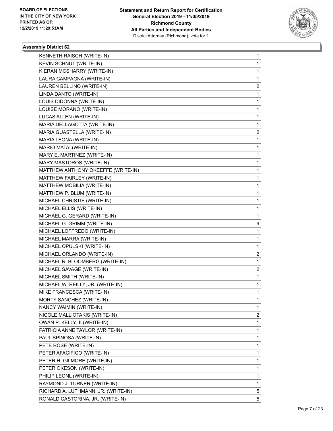

| KENNETH RAISCH (WRITE-IN)           | 1                       |
|-------------------------------------|-------------------------|
| KEVIN SCHNUT (WRITE-IN)             | 1                       |
| KIERAN MCSHARRY (WRITE-IN)          | 1                       |
| LAURA CAMPAGNA (WRITE-IN)           | 1                       |
| LAUREN BELLINO (WRITE-IN)           | 2                       |
| LINDA DANTO (WRITE-IN)              | 1                       |
| LOUIS DIDONNA (WRITE-IN)            | 1                       |
| LOUISE MORANO (WRITE-IN)            | 1                       |
| LUCAS ALLEN (WRITE-IN)              | 1                       |
| MARIA DELLAGOTTA (WRITE-IN)         | 1                       |
| MARIA GUASTELLA (WRITE-IN)          | 2                       |
| MARIA LEONA (WRITE-IN)              | 1                       |
| MARIO MATAI (WRITE-IN)              | 1                       |
| MARY E. MARTINEZ (WRITE-IN)         | 1                       |
| MARY MASTOROS (WRITE-IN)            | 1                       |
| MATTHEW ANTHONY OKEEFFE (WRITE-IN)  | 1                       |
| MATTHEW FAIRLEY (WRITE-IN)          | 1                       |
| MATTHEW MOBILIA (WRITE-IN)          | 1                       |
| MATTHEW P. BLUM (WRITE-IN)          | 1                       |
| MICHAEL CHRISTIE (WRITE-IN)         | 1                       |
| MICHAEL ELLIS (WRITE-IN)            | 1                       |
| MICHAEL G. GERARD (WRITE-IN)        | 1                       |
| MICHAEL G. GRIMM (WRITE-IN)         | 9                       |
| MICHAEL LOFFREDO (WRITE-IN)         | 1                       |
| MICHAEL MARRA (WRITE-IN)            | 1                       |
| MICHAEL OPULSKI (WRITE-IN)          | 1                       |
| MICHAEL ORLANDO (WRITE-IN)          | $\overline{\mathbf{c}}$ |
| MICHAEL R. BLOOMBERG (WRITE-IN)     | 1                       |
| MICHAEL SAVAGE (WRITE-IN)           | 2                       |
| MICHAEL SMITH (WRITE-IN)            | 1                       |
| MICHAEL W. REILLY, JR. (WRITE-IN)   | $\mathbf{1}$            |
| MIKE FRANCESCA (WRITE-IN)           | 1                       |
| MORTY SANCHEZ (WRITE-IN)            | 1                       |
| NANCY WAIMIN (WRITE-IN)             | 1                       |
| NICOLE MALLIOTAKIS (WRITE-IN)       | 2                       |
| OWAN P. KELLY, II (WRITE-IN)        | 1                       |
| PATRICIA ANNE TAYLOR (WRITE-IN)     | 1                       |
| PAUL SPINOSA (WRITE-IN)             | 1                       |
| PETE ROSE (WRITE-IN)                | 1                       |
| PETER AFACIFICO (WRITE-IN)          | 1                       |
| PETER H. GILMORE (WRITE-IN)         | 1                       |
| PETER OKESON (WRITE-IN)             | 1                       |
| PHILIP LEONL (WRITE-IN)             | 1                       |
| RAYMOND J. TURNER (WRITE-IN)        | 1                       |
| RICHARD A. LUTHMANN, JR. (WRITE-IN) | 5                       |
| RONALD CASTORINA, JR. (WRITE-IN)    | 5                       |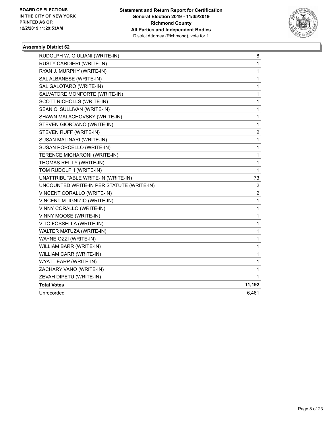

| RUDOLPH W. GIULIANI (WRITE-IN)            | 8                       |
|-------------------------------------------|-------------------------|
| <b>RUSTY CARDIERI (WRITE-IN)</b>          | 1                       |
| RYAN J. MURPHY (WRITE-IN)                 | 1                       |
| SAL ALBANESE (WRITE-IN)                   | $\mathbf{1}$            |
| SAL GALOTARO (WRITE-IN)                   | 1                       |
| SALVATORE MONFORTE (WRITE-IN)             | 1                       |
| SCOTT NICHOLLS (WRITE-IN)                 | 1                       |
| SEAN O' SULLIVAN (WRITE-IN)               | 1                       |
| SHAWN MALACHOVSKY (WRITE-IN)              | 1                       |
| STEVEN GIORDANO (WRITE-IN)                | 1                       |
| STEVEN RUFF (WRITE-IN)                    | $\overline{c}$          |
| SUSAN MALINARI (WRITE-IN)                 | 1                       |
| SUSAN PORCELLO (WRITE-IN)                 | 1                       |
| TERENCE MICHARONI (WRITE-IN)              | 1                       |
| THOMAS REILLY (WRITE-IN)                  | 1                       |
| TOM RUDOLPH (WRITE-IN)                    | $\mathbf{1}$            |
| UNATTRIBUTABLE WRITE-IN (WRITE-IN)        | 73                      |
| UNCOUNTED WRITE-IN PER STATUTE (WRITE-IN) | 2                       |
| VINCENT CORALLO (WRITE-IN)                | $\overline{\mathbf{c}}$ |
| VINCENT M. IGNIZIO (WRITE-IN)             | $\mathbf 1$             |
| VINNY CORALLO (WRITE-IN)                  | 1                       |
| VINNY MOOSE (WRITE-IN)                    | 1                       |
| VITO FOSSELLA (WRITE-IN)                  | 1                       |
| WALTER MATUZA (WRITE-IN)                  | 1                       |
| WAYNE OZZI (WRITE-IN)                     | 1                       |
| WILLIAM BARR (WRITE-IN)                   | 1                       |
| WILLIAM CARR (WRITE-IN)                   | 1                       |
| WYATT EARP (WRITE-IN)                     | 1                       |
| ZACHARY VANO (WRITE-IN)                   | 1                       |
| ZEVAH DIPETU (WRITE-IN)                   | 1                       |
| <b>Total Votes</b>                        | 11,192                  |
| Unrecorded                                | 6,461                   |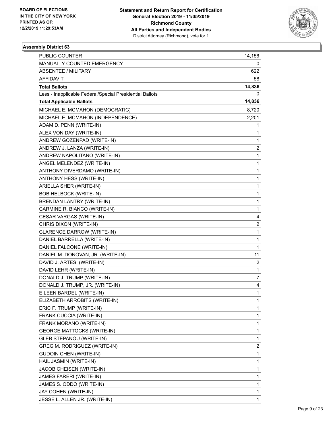

| PUBLIC COUNTER                                           | 14,156                  |
|----------------------------------------------------------|-------------------------|
| MANUALLY COUNTED EMERGENCY                               | 0                       |
| <b>ABSENTEE / MILITARY</b>                               | 622                     |
| AFFIDAVIT                                                | 58                      |
| <b>Total Ballots</b>                                     | 14,836                  |
| Less - Inapplicable Federal/Special Presidential Ballots | 0                       |
| <b>Total Applicable Ballots</b>                          | 14,836                  |
| MICHAEL E. MCMAHON (DEMOCRATIC)                          | 8,720                   |
| MICHAEL E. MCMAHON (INDEPENDENCE)                        | 2,201                   |
| ADAM D. PENN (WRITE-IN)                                  | 1                       |
| ALEX VON DAY (WRITE-IN)                                  | 1                       |
| ANDREW GOZENPAD (WRITE-IN)                               | 1                       |
| ANDREW J. LANZA (WRITE-IN)                               | 2                       |
| ANDREW NAPOLITANO (WRITE-IN)                             | 1                       |
| ANGEL MELENDEZ (WRITE-IN)                                | 1                       |
| ANTHONY DIVERDAMO (WRITE-IN)                             | 1                       |
| ANTHONY HESS (WRITE-IN)                                  | 1                       |
| ARIELLA SHER (WRITE-IN)                                  | 1                       |
| <b>BOB HELBOCK (WRITE-IN)</b>                            | $\mathbf{1}$            |
| BRENDAN LANTRY (WRITE-IN)                                | 1                       |
| CARMINE R. BIANCO (WRITE-IN)                             | 1                       |
| CESAR VARGAS (WRITE-IN)                                  | 4                       |
| CHRIS DIXON (WRITE-IN)                                   | $\overline{\mathbf{c}}$ |
| CLARENCE DARROW (WRITE-IN)                               | 1                       |
| DANIEL BARRELLA (WRITE-IN)                               | 1                       |
| DANIEL FALCONE (WRITE-IN)                                | $\mathbf{1}$            |
| DANIEL M. DONOVAN, JR. (WRITE-IN)                        | 11                      |
| DAVID J. ARTESI (WRITE-IN)                               | $\overline{2}$          |
| DAVID LEHR (WRITE-IN)                                    | 1                       |
| DONALD J. TRUMP (WRITE-IN)                               | 7                       |
| DONALD J. TRUMP, JR. (WRITE-IN)                          | 4                       |
| EILEEN BARDEL (WRITE-IN)                                 | $\mathbf{1}$            |
| ELIZABETH ARROBITS (WRITE-IN)                            | 1                       |
| ERIC F. TRUMP (WRITE-IN)                                 | 1                       |
| FRANK CUCCIA (WRITE-IN)                                  | 1                       |
| FRANK MORANO (WRITE-IN)                                  | 1                       |
| <b>GEORGE MATTOCKS (WRITE-IN)</b>                        | 1                       |
| <b>GLEB STEPANOU (WRITE-IN)</b>                          | 1                       |
| GREG M. RODRIGUEZ (WRITE-IN)                             | 2                       |
| <b>GUDOIN CHEN (WRITE-IN)</b>                            | 1                       |
| HAIL JASMIN (WRITE-IN)                                   | 1                       |
| JACOB CHEISEN (WRITE-IN)                                 | 1                       |
| JAMES FARERI (WRITE-IN)                                  | 1                       |
| JAMES S. ODDO (WRITE-IN)                                 | 1                       |
| JAY COHEN (WRITE-IN)                                     | 1                       |
| JESSE L. ALLEN JR. (WRITE-IN)                            | 1                       |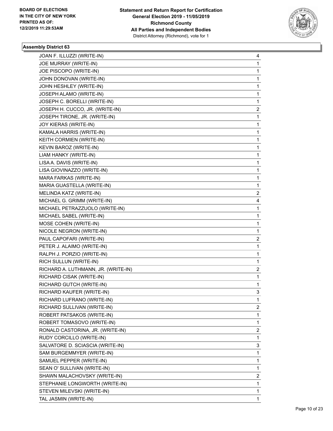

| JOAN F. ILLUZZI (WRITE-IN)          | 4 |
|-------------------------------------|---|
| JOE MURRAY (WRITE-IN)               | 1 |
| JOE PISCOPO (WRITE-IN)              | 1 |
| JOHN DONOVAN (WRITE-IN)             | 1 |
| JOHN HESHLEY (WRITE-IN)             | 1 |
| JOSEPH ALAMO (WRITE-IN)             | 1 |
| JOSEPH C. BORELLI (WRITE-IN)        | 1 |
| JOSEPH H. CUCCO, JR. (WRITE-IN)     | 2 |
| JOSEPH TIRONE, JR. (WRITE-IN)       | 1 |
| JOY KIERAS (WRITE-IN)               | 1 |
| KAMALA HARRIS (WRITE-IN)            | 1 |
| KEITH CORMIEN (WRITE-IN)            | 1 |
| KEVIN BAROZ (WRITE-IN)              | 1 |
| LIAM HANKY (WRITE-IN)               | 1 |
| LISA A. DAVIS (WRITE-IN)            | 1 |
| LISA GIOVINAZZO (WRITE-IN)          | 1 |
| MARA FARKAS (WRITE-IN)              | 1 |
| MARIA GUASTELLA (WRITE-IN)          | 1 |
| MELINDA KATZ (WRITE-IN)             | 2 |
| MICHAEL G. GRIMM (WRITE-IN)         | 4 |
| MICHAEL PETRAZZUOLO (WRITE-IN)      | 1 |
| MICHAEL SABEL (WRITE-IN)            | 1 |
| MOSE COHEN (WRITE-IN)               | 1 |
| NICOLE NEGRON (WRITE-IN)            | 1 |
| PAUL CAPOFARI (WRITE-IN)            | 2 |
| PETER J. ALAIMO (WRITE-IN)          | 1 |
| RALPH J. PORZIO (WRITE-IN)          | 1 |
| RICH SULLUN (WRITE-IN)              | 1 |
| RICHARD A. LUTHMANN, JR. (WRITE-IN) | 2 |
| RICHARD CISAK (WRITE-IN)            | 1 |
| RICHARD GUTCH (WRITE-IN)            | 1 |
| RICHARD KAUFER (WRITE-IN)           | 3 |
| RICHARD LUFRANO (WRITE-IN)          | 1 |
| RICHARD SULLIVAN (WRITE-IN)         | 2 |
| ROBERT PATSAKOS (WRITE-IN)          | 1 |
| ROBERT TOMASOVO (WRITE-IN)          | 1 |
| RONALD CASTORINA, JR. (WRITE-IN)    | 2 |
| RUDY CORCILLO (WRITE-IN)            | 1 |
| SALVATORE D. SCIASCIA (WRITE-IN)    | 3 |
| SAM BURGEMMYER (WRITE-IN)           | 1 |
| SAMUEL PEPPER (WRITE-IN)            | 1 |
| SEAN O' SULLIVAN (WRITE-IN)         | 1 |
| SHAWN MALACHOVSKY (WRITE-IN)        | 2 |
| STEPHANIE LONGWORTH (WRITE-IN)      | 1 |
| STEVEN MILEVSKI (WRITE-IN)          | 1 |
| TAL JASMIN (WRITE-IN)               | 1 |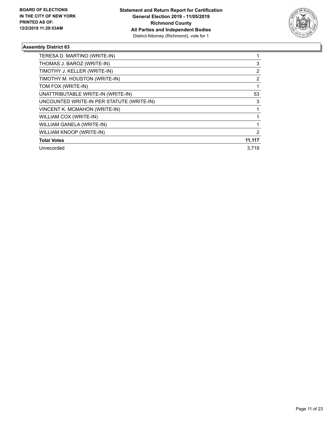

| TERESA D. MARTINO (WRITE-IN)              |                |
|-------------------------------------------|----------------|
| THOMAS J. BAROZ (WRITE-IN)                | 3              |
| TIMOTHY J. KELLER (WRITE-IN)              | 2              |
| TIMOTHY M. HOUSTON (WRITE-IN)             | $\overline{2}$ |
| TOM FOX (WRITE-IN)                        |                |
| UNATTRIBUTABLE WRITE-IN (WRITE-IN)        | 53             |
| UNCOUNTED WRITE-IN PER STATUTE (WRITE-IN) | 3              |
| VINCENT K. MCMAHON (WRITE-IN)             |                |
| WILLIAM COX (WRITE-IN)                    |                |
| WILLIAM GANELA (WRITE-IN)                 |                |
| WILLIAM KNOOP (WRITE-IN)                  | 2              |
| <b>Total Votes</b>                        | 11,117         |
| Unrecorded                                | 3.719          |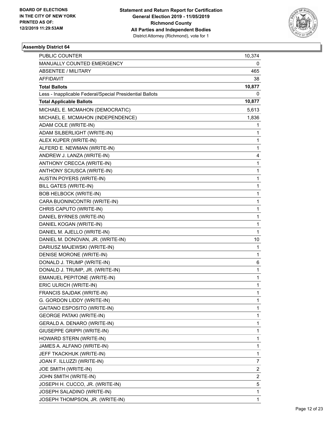

| PUBLIC COUNTER                                           | 10,374                  |
|----------------------------------------------------------|-------------------------|
| MANUALLY COUNTED EMERGENCY                               | 0                       |
| ABSENTEE / MILITARY                                      | 465                     |
| AFFIDAVIT                                                | 38                      |
| <b>Total Ballots</b>                                     | 10,877                  |
| Less - Inapplicable Federal/Special Presidential Ballots | 0                       |
| <b>Total Applicable Ballots</b>                          | 10,877                  |
| MICHAEL E. MCMAHON (DEMOCRATIC)                          | 5,613                   |
| MICHAEL E. MCMAHON (INDEPENDENCE)                        | 1,836                   |
| ADAM COLE (WRITE-IN)                                     | 1                       |
| ADAM SILBERLIGHT (WRITE-IN)                              | 1                       |
| ALEX KUPER (WRITE-IN)                                    | 1                       |
| ALFERD E. NEWMAN (WRITE-IN)                              | 1                       |
| ANDREW J. LANZA (WRITE-IN)                               | 4                       |
| ANTHONY CRECCA (WRITE-IN)                                | 1                       |
| ANTHONY SCIUSCA (WRITE-IN)                               | 1                       |
| AUSTIN POYERS (WRITE-IN)                                 | 1                       |
| <b>BILL GATES (WRITE-IN)</b>                             | 1                       |
| <b>BOB HELBOCK (WRITE-IN)</b>                            | 1                       |
| CARA BUONINCONTRI (WRITE-IN)                             | 1                       |
| CHRIS CAPUTO (WRITE-IN)                                  | 1                       |
| DANIEL BYRNES (WRITE-IN)                                 | 1                       |
| DANIEL KOGAN (WRITE-IN)                                  | 1                       |
| DANIEL M. AJELLO (WRITE-IN)                              | 1                       |
| DANIEL M. DONOVAN, JR. (WRITE-IN)                        | 10                      |
| DARIUSZ MAJEWSKI (WRITE-IN)                              | 1                       |
| DENISE MORONE (WRITE-IN)                                 | 1                       |
| DONALD J. TRUMP (WRITE-IN)                               | 6                       |
| DONALD J. TRUMP, JR. (WRITE-IN)                          | 1                       |
| EMANUEL PEPITONE (WRITE-IN)                              | 1                       |
| ERIC ULRICH (WRITE-IN)                                   | 1                       |
| FRANCIS SAJDAK (WRITE-IN)                                | 1                       |
| G. GORDON LIDDY (WRITE-IN)                               | 1                       |
| GAITANO ESPOSITO (WRITE-IN)                              | 1                       |
| <b>GEORGE PATAKI (WRITE-IN)</b>                          | 1                       |
| GERALD A. DENARO (WRITE-IN)                              | 1                       |
| GIUSEPPE GRIPPI (WRITE-IN)                               | 1                       |
| HOWARD STERN (WRITE-IN)                                  | 1                       |
| JAMES A. ALFANO (WRITE-IN)                               | 1                       |
| JEFF TKACKHUK (WRITE-IN)                                 | 1                       |
| JOAN F. ILLUZZI (WRITE-IN)                               | 7                       |
| JOE SMITH (WRITE-IN)                                     | $\overline{\mathbf{c}}$ |
| JOHN SMITH (WRITE-IN)                                    | $\overline{c}$          |
| JOSEPH H. CUCCO, JR. (WRITE-IN)                          | 5                       |
| JOSEPH SALADINO (WRITE-IN)                               | 1                       |
| JOSEPH THOMPSON, JR. (WRITE-IN)                          | 1                       |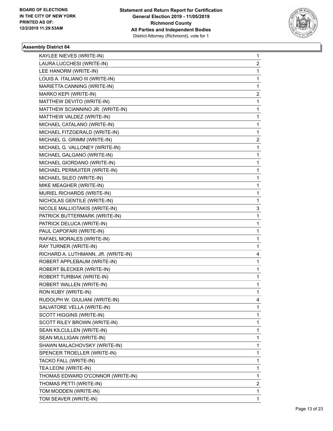

| KAYLEE NIEVES (WRITE-IN)            | 1            |
|-------------------------------------|--------------|
| LAURA LUCCHESI (WRITE-IN)           | 2            |
| LEE HANORM (WRITE-IN)               | $\mathbf{1}$ |
| LOUIS A. ITALIANO III (WRITE-IN)    | 1            |
| MARIETTA CANNING (WRITE-IN)         | 1            |
| MARKO KEPI (WRITE-IN)               | 2            |
| MATTHEW DEVITO (WRITE-IN)           | 1            |
| MATTHEW SCIANNINO JR. (WRITE-IN)    | 1            |
| MATTHEW VALDEZ (WRITE-IN)           | 1            |
| MICHAEL CATALANO (WRITE-IN)         | 1            |
| MICHAEL FITZGERALD (WRITE-IN)       | 1            |
| MICHAEL G. GRIMM (WRITE-IN)         | 2            |
| MICHAEL G. VALLONEY (WRITE-IN)      | 1            |
| MICHAEL GALGANO (WRITE-IN)          | 1            |
| MICHAEL GIORDANO (WRITE-IN)         | $\mathbf{1}$ |
| MICHAEL PERMUITER (WRITE-IN)        | 1            |
| MICHAEL SILEO (WRITE-IN)            | 1            |
| MIKE MEAGHER (WRITE-IN)             | 1            |
| MURIEL RICHARDS (WRITE-IN)          | 1            |
| NICHOLAS GENTILE (WRITE-IN)         | 1            |
| NICOLE MALLIOTAKIS (WRITE-IN)       | 3            |
| PATRICK BUTTERMARK (WRITE-IN)       | 1            |
| PATRICK DELUCA (WRITE-IN)           | 1            |
| PAUL CAPOFARI (WRITE-IN)            | 1            |
| RAFAEL MORALES (WRITE-IN)           | 1            |
| RAY TURNER (WRITE-IN)               | 1            |
| RICHARD A. LUTHMANN, JR. (WRITE-IN) | 4            |
| ROBERT APPLEBAUM (WRITE-IN)         | 1            |
| ROBERT BLECKER (WRITE-IN)           | 1            |
| ROBERT TURBIAK (WRITE-IN)           | 1            |
| ROBERT WALLEN (WRITE-IN)            | 1            |
| RON KUBY (WRITE-IN)                 | 1            |
| RUDOLPH W. GIULIANI (WRITE-IN)      | 4            |
| SALVATORE VELLA (WRITE-IN)          | 1            |
| SCOTT HIGGINS (WRITE-IN)            | 1            |
| SCOTT RILEY BROWN (WRITE-IN)        | 1            |
| SEAN KILCULLEN (WRITE-IN)           | 1            |
| SEAN MULLIGAN (WRITE-IN)            | 1            |
| SHAWN MALACHOVSKY (WRITE-IN)        | 1            |
| SPENCER TROELLER (WRITE-IN)         | 1            |
| TACKO FALL (WRITE-IN)               | 1            |
| TEA LEONI (WRITE-IN)                | 1            |
| THOMAS EDWARD O'CONNOR (WRITE-IN)   | 1            |
| THOMAS PETTI (WRITE-IN)             | 2            |
| TOM MODDEN (WRITE-IN)               | 1            |
| TOM SEAVER (WRITE-IN)               | 1            |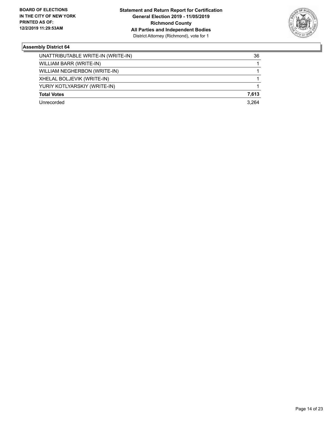

| UNATTRIBUTABLE WRITE-IN (WRITE-IN) | 36    |
|------------------------------------|-------|
| WILLIAM BARR (WRITE-IN)            |       |
| WILLIAM NEGHERBON (WRITE-IN)       |       |
| XHELAL BOLJEVIK (WRITE-IN)         |       |
| YURIY KOTLYARSKIY (WRITE-IN)       |       |
| <b>Total Votes</b>                 | 7,613 |
| Unrecorded                         | 3.264 |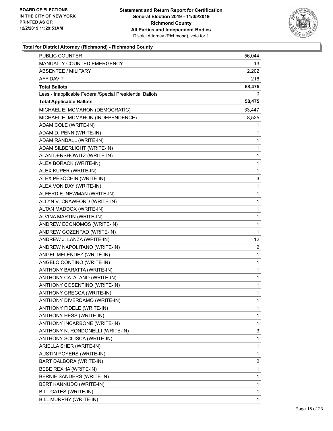

| PUBLIC COUNTER                                           | 56,044       |
|----------------------------------------------------------|--------------|
| <b>MANUALLY COUNTED EMERGENCY</b>                        | 13           |
| <b>ABSENTEE / MILITARY</b>                               | 2,202        |
| AFFIDAVIT                                                | 216          |
| <b>Total Ballots</b>                                     | 58,475       |
| Less - Inapplicable Federal/Special Presidential Ballots | 0            |
| <b>Total Applicable Ballots</b>                          | 58,475       |
| MICHAEL E. MCMAHON (DEMOCRATIC)                          | 33,447       |
| MICHAEL E. MCMAHON (INDEPENDENCE)                        | 8,525        |
| ADAM COLE (WRITE-IN)                                     | 1            |
| ADAM D. PENN (WRITE-IN)                                  | 1            |
| ADAM RANDALL (WRITE-IN)                                  | 1            |
| ADAM SILBERLIGHT (WRITE-IN)                              | 1            |
| ALAN DERSHOWITZ (WRITE-IN)                               | $\mathbf{1}$ |
| ALEX BORACK (WRITE-IN)                                   | 1            |
| ALEX KUPER (WRITE-IN)                                    | $\mathbf{1}$ |
| ALEX PESOCHIN (WRITE-IN)                                 | 3            |
| ALEX VON DAY (WRITE-IN)                                  | 1            |
| ALFERD E. NEWMAN (WRITE-IN)                              | 1            |
| ALLYN V. CRAWFORD (WRITE-IN)                             | $\mathbf{1}$ |
| ALTAN MADDOX (WRITE-IN)                                  | 1            |
| ALVINA MARTIN (WRITE-IN)                                 | 1            |
| ANDREW ECONOMOS (WRITE-IN)                               | $\mathbf{1}$ |
| ANDREW GOZENPAD (WRITE-IN)                               | 1            |
| ANDREW J. LANZA (WRITE-IN)                               | 12           |
| ANDREW NAPOLITANO (WRITE-IN)                             | 2            |
| ANGEL MELENDEZ (WRITE-IN)                                | 1            |
| ANGELO CONTINO (WRITE-IN)                                | 1            |
| ANTHONY BARATTA (WRITE-IN)                               | 1            |
| ANTHONY CATALANO (WRITE-IN)                              | 1            |
| ANTHONY COSENTINO (WRITE-IN)                             | 1            |
| ANTHONY CRECCA (WRITE-IN)                                | $\mathbf{1}$ |
| ANTHONY DIVERDAMO (WRITE-IN)                             | 1            |
| <b>ANTHONY FIDELE (WRITE-IN)</b>                         | 1            |
| ANTHONY HESS (WRITE-IN)                                  | 1            |
| ANTHONY INCARBONE (WRITE-IN)                             | 1            |
| ANTHONY N. RONDONELLI (WRITE-IN)                         | 3            |
| ANTHONY SCIUSCA (WRITE-IN)                               | 1            |
| ARIELLA SHER (WRITE-IN)                                  | 1            |
| AUSTIN POYERS (WRITE-IN)                                 | 1            |
| BART DALBORA (WRITE-IN)                                  | 2            |
| BEBE REXHA (WRITE-IN)                                    | 1            |
| BERNIE SANDERS (WRITE-IN)                                | 1            |
| BERT KANNUDO (WRITE-IN)                                  | 1            |
| BILL GATES (WRITE-IN)                                    | 1            |
| BILL MURPHY (WRITE-IN)                                   | 1            |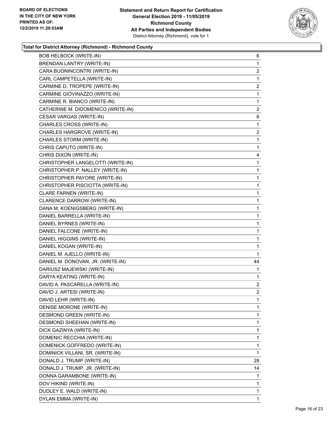

| <b>BOB HELBOCK (WRITE-IN)</b>      | 6                       |
|------------------------------------|-------------------------|
| <b>BRENDAN LANTRY (WRITE-IN)</b>   | $\mathbf{1}$            |
| CARA BUONINCONTRI (WRITE-IN)       | $\overline{2}$          |
| CARL CAMPETELLA (WRITE-IN)         | 1                       |
| CARMINE D. TROPEPE (WRITE-IN)      | $\overline{\mathbf{c}}$ |
| CARMINE GIOVINAZZO (WRITE-IN)      | $\mathbf{1}$            |
| CARMINE R. BIANCO (WRITE-IN)       | 1                       |
| CATHERINE M. DIDOMENICO (WRITE-IN) | $\overline{2}$          |
| CESAR VARGAS (WRITE-IN)            | 6                       |
| CHARLES CROSS (WRITE-IN)           | 1                       |
| CHARLES HARGROVE (WRITE-IN)        | 2                       |
| CHARLES STORM (WRITE-IN)           | $\mathbf{1}$            |
| CHRIS CAPUTO (WRITE-IN)            | 1                       |
| CHRIS DIXON (WRITE-IN)             | 4                       |
| CHRISTOPHER LANGELOTTI (WRITE-IN)  | $\mathbf{1}$            |
| CHRISTOPHER P. NALLEY (WRITE-IN)   | 1                       |
| CHRISTOPHER PAYORE (WRITE-IN)      | $\mathbf{1}$            |
| CHRISTOPHER PISCIOTTA (WRITE-IN)   | $\mathbf{1}$            |
| CLARE FARNEN (WRITE-IN)            | 1                       |
| CLARENCE DARROW (WRITE-IN)         | $\mathbf{1}$            |
| DANA M. KOENIGSBERG (WRITE-IN)     | 1                       |
| DANIEL BARRELLA (WRITE-IN)         | 1                       |
| DANIEL BYRNES (WRITE-IN)           | $\mathbf{1}$            |
| DANIEL FALCONE (WRITE-IN)          | $\mathbf{1}$            |
| DANIEL HIGGINS (WRITE-IN)          | 1                       |
| DANIEL KOGAN (WRITE-IN)            | $\mathbf{1}$            |
| DANIEL M. AJELLO (WRITE-IN)        | 1                       |
| DANIEL M. DONOVAN, JR. (WRITE-IN)  | 44                      |
| DARIUSZ MAJEWSKI (WRITE-IN)        | $\mathbf{1}$            |
| DARYA KEATING (WRITE-IN)           | $\mathbf{1}$            |
| DAVID A. PASCARELLA (WRITE-IN)     | $\mathbf{2}$            |
| DAVID J. ARTESI (WRITE-IN)         | $\overline{2}$          |
| DAVID LEHR (WRITE-IN)              | 1                       |
| DENISE MORONE (WRITE-IN)           | 1                       |
| DESMOND GREEN (WRITE-IN)           | $\mathbf 1$             |
| DESMOND SHEEHAN (WRITE-IN)         | 1                       |
| DICK GAZINYA (WRITE-IN)            | 1                       |
| DOMENIC RECCHIA (WRITE-IN)         | $\mathbf 1$             |
| DOMENICK GOFFREDO (WRITE-IN)       | 1                       |
| DOMINICK VILLANI, SR. (WRITE-IN)   | 1                       |
| DONALD J. TRUMP (WRITE-IN)         | 28                      |
| DONALD J. TRUMP, JR. (WRITE-IN)    | 14                      |
| DONNA GARAMBONE (WRITE-IN)         | 1                       |
| DOV HIKIND (WRITE-IN)              | 1                       |
| DUDLEY E. WALD (WRITE-IN)          | $\mathbf{1}$            |
| DYLAN EMMA (WRITE-IN)              | 1                       |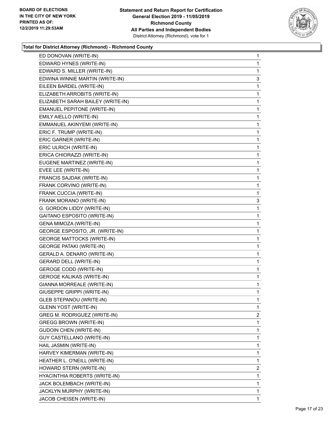

| ED DONOVAN (WRITE-IN)             | $\mathbf{1}$   |
|-----------------------------------|----------------|
| EDWARD HYNES (WRITE-IN)           | 1              |
| EDWARD S. MILLER (WRITE-IN)       | 1              |
| EDWINA WINNIE MARTIN (WRITE-IN)   | 3              |
| EILEEN BARDEL (WRITE-IN)          | 1              |
| ELIZABETH ARROBITS (WRITE-IN)     | 1              |
| ELIZABETH SARAH BAILEY (WRITE-IN) | 1              |
| EMANUEL PEPITONE (WRITE-IN)       | 1              |
| EMILY AIELLO (WRITE-IN)           | 1              |
| EMMANUEL AKINYEMI (WRITE-IN)      | 1              |
| ERIC F. TRUMP (WRITE-IN)          | 1              |
| ERIC GARNER (WRITE-IN)            | 1              |
| ERIC ULRICH (WRITE-IN)            | 1              |
| ERICA CHIORAZZI (WRITE-IN)        | 1              |
| EUGENE MARTINEZ (WRITE-IN)        | 1              |
| EVEE LEE (WRITE-IN)               | 1              |
| FRANCIS SAJDAK (WRITE-IN)         | 1              |
| FRANK CORVINO (WRITE-IN)          | 1              |
| FRANK CUCCIA (WRITE-IN)           | 1              |
| FRANK MORANO (WRITE-IN)           | 3              |
| G. GORDON LIDDY (WRITE-IN)        | 1              |
| GAITANO ESPOSITO (WRITE-IN)       | 1              |
| GENA MIMOZA (WRITE-IN)            | 1              |
| GEORGE ESPOSITO, JR. (WRITE-IN)   | 1              |
| <b>GEORGE MATTOCKS (WRITE-IN)</b> | 1              |
| <b>GEORGE PATAKI (WRITE-IN)</b>   | 1              |
| GERALD A. DENARO (WRITE-IN)       | 1              |
| <b>GERARD DELL (WRITE-IN)</b>     | 1              |
| <b>GEROGE CODD (WRITE-IN)</b>     | 1              |
| <b>GEROGE KALIKAS (WRITE-IN)</b>  | $\mathbf{1}$   |
| GIANNA MORREALE (WRITE-IN)        | 1              |
| GIUSEPPE GRIPPI (WRITE-IN)        | 1              |
| <b>GLEB STEPANOU (WRITE-IN)</b>   | 1              |
| <b>GLENN YOST (WRITE-IN)</b>      | 1              |
| GREG M. RODRIGUEZ (WRITE-IN)      | $\overline{2}$ |
| GREGG BROWN (WRITE-IN)            | 1              |
| <b>GUDOIN CHEN (WRITE-IN)</b>     | 1              |
| GUY CASTELLANO (WRITE-IN)         | 1              |
| HAIL JASMIN (WRITE-IN)            | 1              |
| HARVEY KIMERMAN (WRITE-IN)        | 1              |
| HEATHER L. O'NEILL (WRITE-IN)     | 1              |
| HOWARD STERN (WRITE-IN)           | 2              |
| HYACINTHIA ROBERTS (WRITE-IN)     | 1              |
| JACK BOLEMBACH (WRITE-IN)         | 1              |
| JACKLYN MURPHY (WRITE-IN)         | 1              |
| JACOB CHEISEN (WRITE-IN)          | 1              |
|                                   |                |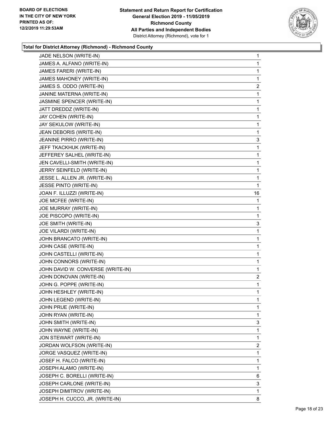

| JADE NELSON (WRITE-IN)            | $\mathbf{1}$   |
|-----------------------------------|----------------|
| JAMES A. ALFANO (WRITE-IN)        | 1              |
| JAMES FARERI (WRITE-IN)           | 1              |
| JAMES MAHONEY (WRITE-IN)          | 1              |
| JAMES S. ODDO (WRITE-IN)          | 2              |
| JANINE MATERNA (WRITE-IN)         | 1              |
| JASMINE SPENCER (WRITE-IN)        | $\mathbf{1}$   |
| JATT DREDDZ (WRITE-IN)            | 1              |
| JAY COHEN (WRITE-IN)              | 1              |
| JAY SEKULOW (WRITE-IN)            | $\mathbf{1}$   |
| JEAN DEBORIS (WRITE-IN)           | 1              |
| JEANINE PIRRO (WRITE-IN)          | 3              |
| JEFF TKACKHUK (WRITE-IN)          | 1              |
| JEFFEREY SALHEL (WRITE-IN)        | 1              |
| JEN CAVELLI-SMITH (WRITE-IN)      | 1              |
| JERRY SEINFELD (WRITE-IN)         | $\mathbf{1}$   |
| JESSE L. ALLEN JR. (WRITE-IN)     | 1              |
| JESSE PINTO (WRITE-IN)            | 1              |
| JOAN F. ILLUZZI (WRITE-IN)        | 16             |
| JOE MCFEE (WRITE-IN)              | 1              |
| JOE MURRAY (WRITE-IN)             | 1              |
| JOE PISCOPO (WRITE-IN)            | 1              |
| JOE SMITH (WRITE-IN)              | 3              |
| JOE VILARDI (WRITE-IN)            | 1              |
| JOHN BRANCATO (WRITE-IN)          | $\mathbf{1}$   |
| JOHN CASE (WRITE-IN)              | 1              |
| JOHN CASTELLI (WRITE-IN)          | 1              |
| JOHN CONNORS (WRITE-IN)           | $\mathbf{1}$   |
| JOHN DAVID W. CONVERSE (WRITE-IN) | 1              |
| JOHN DONOVAN (WRITE-IN)           | 2              |
| JOHN G. POPPE (WRITE-IN)          | $\mathbf{1}$   |
| JOHN HESHLEY (WRITE-IN)           | 1              |
| JOHN LEGEND (WRITE-IN)            | $\mathbf{1}$   |
| JOHN PRUE (WRITE-IN)              | 1              |
| JOHN RYAN (WRITE-IN)              | 1              |
| JOHN SMITH (WRITE-IN)             | 3              |
| JOHN WAYNE (WRITE-IN)             | $\mathbf{1}$   |
| JON STEWART (WRITE-IN)            | 1              |
| JORDAN WOLFSON (WRITE-IN)         | $\overline{c}$ |
| JORGE VASQUEZ (WRITE-IN)          | 1              |
| JOSEF H. FALCO (WRITE-IN)         | 1              |
| JOSEPH ALAMO (WRITE-IN)           | 1              |
| JOSEPH C. BORELLI (WRITE-IN)      | 6              |
| JOSEPH CARLONE (WRITE-IN)         | 3              |
| JOSEPH DIMITROV (WRITE-IN)        | 1              |
| JOSEPH H. CUCCO, JR. (WRITE-IN)   | 8              |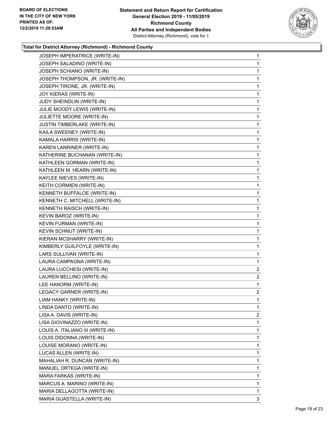

| JOSEPH IMPERATRICE (WRITE-IN)    | 1              |
|----------------------------------|----------------|
| JOSEPH SALADINO (WRITE-IN)       | $\mathbf{1}$   |
| JOSEPH SCHIANO (WRITE-IN)        | $\mathbf{1}$   |
| JOSEPH THOMPSON, JR. (WRITE-IN)  | 1              |
| JOSEPH TIRONE, JR. (WRITE-IN)    | 1              |
| JOY KIERAS (WRITE-IN)            | $\mathbf{1}$   |
| JUDY SHEINDLIN (WRITE-IN)        | 1              |
| JULIE MOODY LEWIS (WRITE-IN)     | 1              |
| JULIETTE MOORE (WRITE-IN)        | 1              |
| JUSTIN TIMBERLAKE (WRITE-IN)     | 1              |
| KAILA SWEENEY (WRITE-IN)         | 1              |
| KAMALA HARRIS (WRITE-IN)         | $\mathbf{1}$   |
| KAREN LANRINER (WRITE-IN)        | 1              |
| KATHERINE BUCHANAN (WRITE-IN)    | 1              |
| KATHLEEN GORMAN (WRITE-IN)       | 1              |
| KATHLEEN M. HEARN (WRITE-IN)     | 1              |
| KAYLEE NIEVES (WRITE-IN)         | 1              |
| KEITH CORMIEN (WRITE-IN)         | $\mathbf{1}$   |
| KENNETH BUFFALOE (WRITE-IN)      | 1              |
| KENNETH C. MITCHELL (WRITE-IN)   | 1              |
| KENNETH RAISCH (WRITE-IN)        | 1              |
| KEVIN BAROZ (WRITE-IN)           | 1              |
| KEVIN FURMAN (WRITE-IN)          | 1              |
| KEVIN SCHNUT (WRITE-IN)          | $\mathbf{1}$   |
| KIERAN MCSHARRY (WRITE-IN)       | 1              |
| KIMBERLY GUILFOYLE (WRITE-IN)    | 1              |
| LARS SULLIVAN (WRITE-IN)         | 1              |
| LAURA CAMPAGNA (WRITE-IN)        | 1              |
| LAURA LUCCHESI (WRITE-IN)        | $\overline{2}$ |
| LAUREN BELLINO (WRITE-IN)        | $\overline{2}$ |
| LEE HANORM (WRITE-IN)            | 1              |
| <b>LEGACY GARNER (WRITE-IN)</b>  | $\overline{2}$ |
| LIAM HANKY (WRITE-IN)            | 1              |
| LINDA DANTO (WRITE-IN)           | 1              |
| LISA A. DAVIS (WRITE-IN)         | $\overline{2}$ |
| LISA GIOVINAZZO (WRITE-IN)       | 1              |
| LOUIS A. ITALIANO III (WRITE-IN) | 1              |
| LOUIS DIDONNA (WRITE-IN)         | 1              |
| LOUISE MORANO (WRITE-IN)         | 1              |
| LUCAS ALLEN (WRITE-IN)           | 1              |
| MAHALIAH R. DUNCAN (WRITE-IN)    | 1              |
| MANUEL ORTEGA (WRITE-IN)         | 1              |
| MARA FARKAS (WRITE-IN)           | 1              |
| MARCUS A. MARINO (WRITE-IN)      | 1              |
| MARIA DELLAGOTTA (WRITE-IN)      | 1              |
| MARIA GUASTELLA (WRITE-IN)       | 3              |
|                                  |                |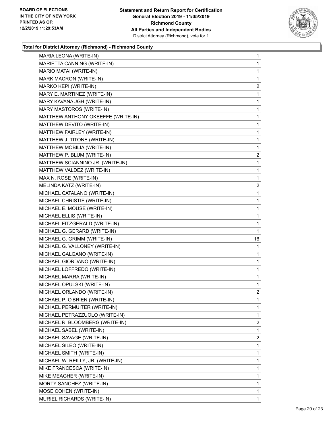

| MARIA LEONA (WRITE-IN)             | $\mathbf{1}$   |
|------------------------------------|----------------|
| MARIETTA CANNING (WRITE-IN)        | 1              |
| MARIO MATAI (WRITE-IN)             | 1              |
| MARK MACRON (WRITE-IN)             | 1              |
| MARKO KEPI (WRITE-IN)              | 2              |
| MARY E. MARTINEZ (WRITE-IN)        | 1              |
| MARY KAVANAUGH (WRITE-IN)          | 1              |
| MARY MASTOROS (WRITE-IN)           | 1              |
| MATTHEW ANTHONY OKEEFFE (WRITE-IN) | 1              |
| MATTHEW DEVITO (WRITE-IN)          | 1              |
| MATTHEW FAIRLEY (WRITE-IN)         | 1              |
| MATTHEW J. TITONE (WRITE-IN)       | 1              |
| MATTHEW MOBILIA (WRITE-IN)         | 1              |
| MATTHEW P. BLUM (WRITE-IN)         | 2              |
| MATTHEW SCIANNINO JR. (WRITE-IN)   | 1              |
| MATTHEW VALDEZ (WRITE-IN)          | $\mathbf 1$    |
| MAX N. ROSE (WRITE-IN)             | 1              |
| MELINDA KATZ (WRITE-IN)            | 2              |
| MICHAEL CATALANO (WRITE-IN)        | 1              |
| MICHAEL CHRISTIE (WRITE-IN)        | 1              |
| MICHAEL E. MOUSE (WRITE-IN)        | 1              |
| MICHAEL ELLIS (WRITE-IN)           | 1              |
| MICHAEL FITZGERALD (WRITE-IN)      | 1              |
|                                    |                |
| MICHAEL G. GERARD (WRITE-IN)       | 1              |
| MICHAEL G. GRIMM (WRITE-IN)        | 16             |
| MICHAEL G. VALLONEY (WRITE-IN)     | 1              |
| MICHAEL GALGANO (WRITE-IN)         | 1              |
| MICHAEL GIORDANO (WRITE-IN)        | 1              |
| MICHAEL LOFFREDO (WRITE-IN)        | 1              |
| MICHAEL MARRA (WRITE-IN)           | 1              |
| MICHAEL OPULSKI (WRITE-IN)         | 1              |
| MICHAEL ORLANDO (WRITE-IN)         | $\overline{2}$ |
| MICHAEL P. O'BRIEN (WRITE-IN)      | 1              |
| MICHAEL PERMUITER (WRITE-IN)       | 1              |
| MICHAEL PETRAZZUOLO (WRITE-IN)     | 1              |
| MICHAEL R. BLOOMBERG (WRITE-IN)    | 2              |
| MICHAEL SABEL (WRITE-IN)           | 1              |
| MICHAEL SAVAGE (WRITE-IN)          | 2              |
| MICHAEL SILEO (WRITE-IN)           | 1              |
| MICHAEL SMITH (WRITE-IN)           | 1              |
| MICHAEL W. REILLY, JR. (WRITE-IN)  | 1              |
| MIKE FRANCESCA (WRITE-IN)          | 1              |
| MIKE MEAGHER (WRITE-IN)            | 1              |
| MORTY SANCHEZ (WRITE-IN)           | 1              |
| MOSE COHEN (WRITE-IN)              | 1              |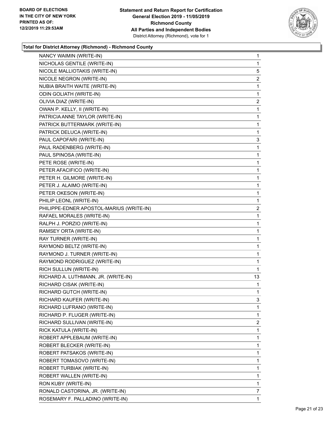

| NANCY WAIMIN (WRITE-IN)                  | 1            |
|------------------------------------------|--------------|
| NICHOLAS GENTILE (WRITE-IN)              | $\mathbf{1}$ |
| NICOLE MALLIOTAKIS (WRITE-IN)            | 5            |
| NICOLE NEGRON (WRITE-IN)                 | 2            |
| NUBIA BRAITH WAITE (WRITE-IN)            | 1            |
| <b>ODIN GOLIATH (WRITE-IN)</b>           | 1            |
| OLIVIA DIAZ (WRITE-IN)                   | 2            |
| OWAN P. KELLY, II (WRITE-IN)             | 1            |
| PATRICIA ANNE TAYLOR (WRITE-IN)          | 1            |
| PATRICK BUTTERMARK (WRITE-IN)            | 1            |
| PATRICK DELUCA (WRITE-IN)                | 1            |
| PAUL CAPOFARI (WRITE-IN)                 | 3            |
| PAUL RADENBERG (WRITE-IN)                | 1            |
| PAUL SPINOSA (WRITE-IN)                  | 1            |
| PETE ROSE (WRITE-IN)                     | 1            |
| PETER AFACIFICO (WRITE-IN)               | 1            |
| PETER H. GILMORE (WRITE-IN)              | 1            |
| PETER J. ALAIMO (WRITE-IN)               | 1            |
| PETER OKESON (WRITE-IN)                  | 1            |
| PHILIP LEONL (WRITE-IN)                  | 1            |
| PHILIPPE-EDNER APOSTOL-MARIUS (WRITE-IN) | 2            |
| RAFAEL MORALES (WRITE-IN)                | 1            |
| RALPH J. PORZIO (WRITE-IN)               | 1            |
| RAMSEY ORTA (WRITE-IN)                   | 1            |
| RAY TURNER (WRITE-IN)                    | 1            |
| RAYMOND BELTZ (WRITE-IN)                 | 1            |
| RAYMOND J. TURNER (WRITE-IN)             | 1            |
| RAYMOND RODRIGUEZ (WRITE-IN)             | 1            |
| RICH SULLUN (WRITE-IN)                   | 1            |
| RICHARD A. LUTHMANN, JR. (WRITE-IN)      | 13           |
| RICHARD CISAK (WRITE-IN)                 | 1            |
| RICHARD GUTCH (WRITE-IN)                 | $\mathbf{1}$ |
| RICHARD KAUFER (WRITE-IN)                | 3            |
| RICHARD LUFRANO (WRITE-IN)               | 1            |
| RICHARD P. FLUGER (WRITE-IN)             | 1            |
| RICHARD SULLIVAN (WRITE-IN)              | 2            |
| RICK KATULA (WRITE-IN)                   | 1            |
| ROBERT APPLEBAUM (WRITE-IN)              | 1            |
| ROBERT BLECKER (WRITE-IN)                | 1            |
| ROBERT PATSAKOS (WRITE-IN)               | 1            |
| ROBERT TOMASOVO (WRITE-IN)               | 1            |
| ROBERT TURBIAK (WRITE-IN)                | 1            |
| ROBERT WALLEN (WRITE-IN)                 | 1            |
| RON KUBY (WRITE-IN)                      | 1            |
| RONALD CASTORINA, JR. (WRITE-IN)         | 7            |
| ROSEMARY F. PALLADINO (WRITE-IN)         | 1            |
|                                          |              |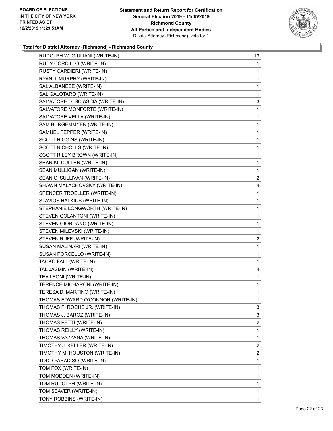

| RUDOLPH W. GIULIANI (WRITE-IN)    | 13             |
|-----------------------------------|----------------|
| RUDY CORCILLO (WRITE-IN)          | $\mathbf{1}$   |
| RUSTY CARDIERI (WRITE-IN)         | 1              |
| RYAN J. MURPHY (WRITE-IN)         | $\mathbf{1}$   |
| SAL ALBANESE (WRITE-IN)           | $\mathbf{1}$   |
| SAL GALOTARO (WRITE-IN)           | 1              |
| SALVATORE D. SCIASCIA (WRITE-IN)  | 3              |
| SALVATORE MONFORTE (WRITE-IN)     | 1              |
| SALVATORE VELLA (WRITE-IN)        | 1              |
| SAM BURGEMMYER (WRITE-IN)         | $\mathbf{1}$   |
| SAMUEL PEPPER (WRITE-IN)          | 1              |
| SCOTT HIGGINS (WRITE-IN)          | 1              |
| SCOTT NICHOLLS (WRITE-IN)         | $\mathbf{1}$   |
| SCOTT RILEY BROWN (WRITE-IN)      | $\mathbf{1}$   |
| SEAN KILCULLEN (WRITE-IN)         | 1              |
| SEAN MULLIGAN (WRITE-IN)          | $\mathbf{1}$   |
| SEAN O' SULLIVAN (WRITE-IN)       | 2              |
| SHAWN MALACHOVSKY (WRITE-IN)      | 4              |
| SPENCER TROELLER (WRITE-IN)       | $\mathbf{1}$   |
| STAVIOS HALKIUS (WRITE-IN)        | $\mathbf{1}$   |
| STEPHANIE LONGWORTH (WRITE-IN)    | 1              |
| STEVEN COLANTONI (WRITE-IN)       | $\mathbf{1}$   |
| STEVEN GIORDANO (WRITE-IN)        | 1              |
| STEVEN MILEVSKI (WRITE-IN)        | 1              |
| STEVEN RUFF (WRITE-IN)            | $\overline{c}$ |
| SUSAN MALINARI (WRITE-IN)         | $\mathbf{1}$   |
| SUSAN PORCELLO (WRITE-IN)         | 1              |
| TACKO FALL (WRITE-IN)             | $\mathbf{1}$   |
| TAL JASMIN (WRITE-IN)             | 4              |
| TEA LEONI (WRITE-IN)              | 1              |
| TERENCE MICHARONI (WRITE-IN)      | $\mathbf{1}$   |
| TERESA D. MARTINO (WRITE-IN)      | 1              |
| THOMAS EDWARD O'CONNOR (WRITE-IN) | 1              |
| THOMAS F. ROCHE JR. (WRITE-IN)    | 3              |
| THOMAS J. BAROZ (WRITE-IN)        | 3              |
| THOMAS PETTI (WRITE-IN)           | $\overline{2}$ |
| THOMAS REILLY (WRITE-IN)          | 1              |
| THOMAS VAZZANA (WRITE-IN)         | 1              |
| TIMOTHY J. KELLER (WRITE-IN)      | 2              |
| TIMOTHY M. HOUSTON (WRITE-IN)     | $\overline{2}$ |
| TODD PARADISO (WRITE-IN)          | 1              |
| TOM FOX (WRITE-IN)                | 1              |
| TOM MODDEN (WRITE-IN)             | 1              |
| TOM RUDOLPH (WRITE-IN)            | 1              |
| TOM SEAVER (WRITE-IN)             | 1              |
| TONY ROBBINS (WRITE-IN)           | $\mathbf{1}$   |
|                                   |                |